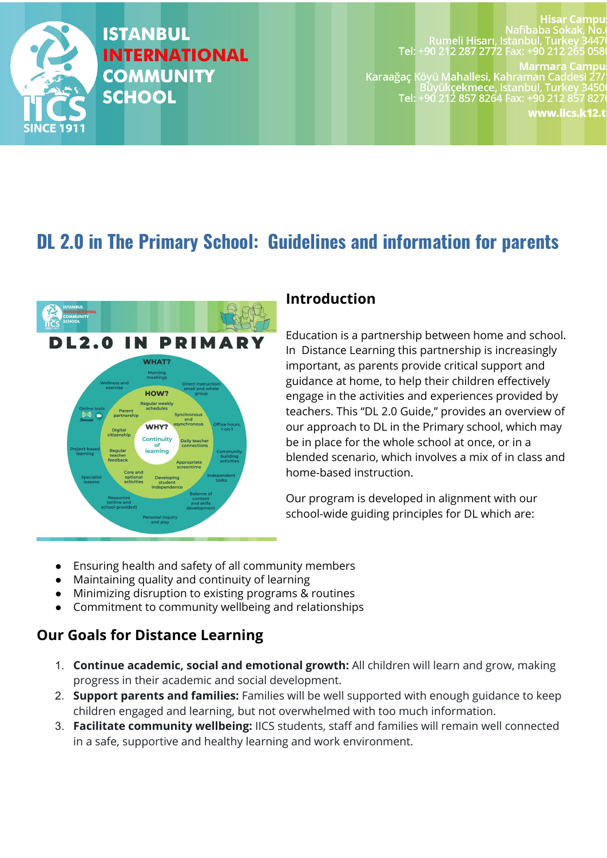

# **ISTANBUL INTERNATIONAL COMMUNITY SCHOOL**

#### Hisar Campu Nafibaba Sokak, No. Rumeli Hisarı, İstanbul, Türkey 344<br>20 912 12:57 0212 14:59 212 15:59 05- 15:59 212 15:59 Tel:

**Marmara Campu** 

Karaağaç Köyü Mahallesi, Kahraman Caddesi 27 Buyükçekmece, İstanbul, Türkey 3450<br>Tel: +90 212 857 8264 Fax: +90 212 857 827

www.iics.k12.t

# **DL 2.0 in The Primary School: Guidelines and information for parents**



### **Introduction**

Education is a partnership between home and school. In Distance Learning this partnership is increasingly important, as parents provide critical support and guidance at home, to help their children effectively engage in the activities and experiences provided by teachers. This "DL 2.0 Guide," provides an overview of our approach to DL in the Primary school, which may be in place for the whole school at once, or in a blended scenario, which involves a mix of in class and home-based instruction.

Our program is developed in alignment with our school-wide guiding principles for DL which are:

- Ensuring health and safety of all community members
- Maintaining quality and continuity of learning
- Minimizing disruption to existing programs & routines
- Commitment to community wellbeing and relationships

## **Our Goals for Distance Learning**

- 1. **Continue academic, social and emotional growth:** All children will learn and grow, making progress in their academic and social development.
- 2. **Support parents and families:** Families will be well supported with enough guidance to keep children engaged and learning, but not overwhelmed with too much information.
- 3. **Facilitate community wellbeing:** IICS students, staff and families will remain well connected in a safe, supportive and healthy learning and work environment.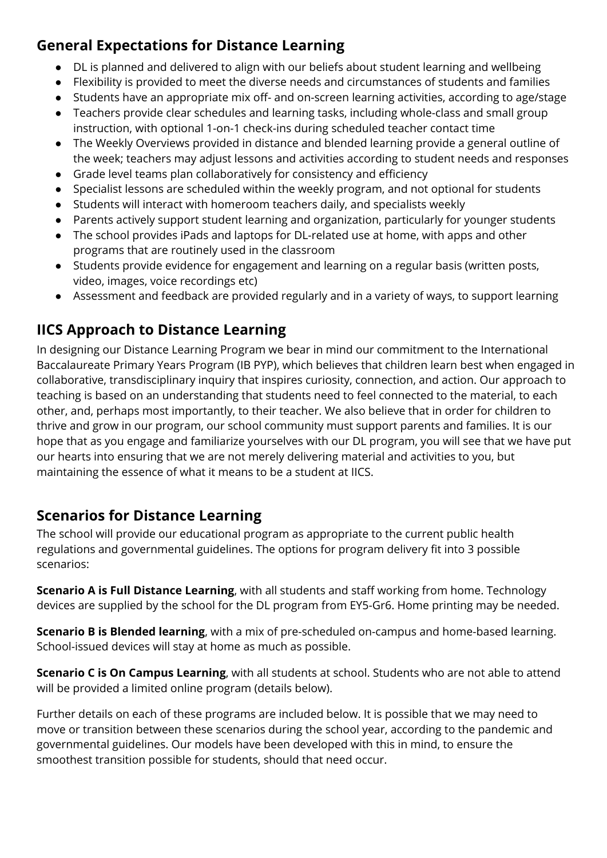## **General Expectations for Distance Learning**

- DL is planned and delivered to align with our beliefs about student learning and wellbeing
- Flexibility is provided to meet the diverse needs and circumstances of students and families
- Students have an appropriate mix off- and on-screen learning activities, according to age/stage
- Teachers provide clear schedules and learning tasks, including whole-class and small group instruction, with optional 1-on-1 check-ins during scheduled teacher contact time
- The Weekly Overviews provided in distance and blended learning provide a general outline of the week; teachers may adjust lessons and activities according to student needs and responses
- Grade level teams plan collaboratively for consistency and efficiency
- Specialist lessons are scheduled within the weekly program, and not optional for students
- Students will interact with homeroom teachers daily, and specialists weekly
- Parents actively support student learning and organization, particularly for younger students
- The school provides iPads and laptops for DL-related use at home, with apps and other programs that are routinely used in the classroom
- Students provide evidence for engagement and learning on a regular basis (written posts, video, images, voice recordings etc)
- Assessment and feedback are provided regularly and in a variety of ways, to support learning

## **IICS Approach to Distance Learning**

In designing our Distance Learning Program we bear in mind our commitment to the International Baccalaureate Primary Years Program (IB PYP), which believes that children learn best when engaged in collaborative, transdisciplinary inquiry that inspires curiosity, connection, and action. Our approach to teaching is based on an understanding that students need to feel connected to the material, to each other, and, perhaps most importantly, to their teacher. We also believe that in order for children to thrive and grow in our program, our school community must support parents and families. It is our hope that as you engage and familiarize yourselves with our DL program, you will see that we have put our hearts into ensuring that we are not merely delivering material and activities to you, but maintaining the essence of what it means to be a student at IICS.

## **Scenarios for Distance Learning**

The school will provide our educational program as appropriate to the current public health regulations and governmental guidelines. The options for program delivery fit into 3 possible scenarios:

**Scenario A is Full Distance Learning**, with all students and staff working from home. Technology devices are supplied by the school for the DL program from EY5-Gr6. Home printing may be needed.

**Scenario B is Blended learning**, with a mix of pre-scheduled on-campus and home-based learning. School-issued devices will stay at home as much as possible.

**Scenario C is On Campus Learning**, with all students at school. Students who are not able to attend will be provided a limited online program (details below).

Further details on each of these programs are included below. It is possible that we may need to move or transition between these scenarios during the school year, according to the pandemic and governmental guidelines. Our models have been developed with this in mind, to ensure the smoothest transition possible for students, should that need occur.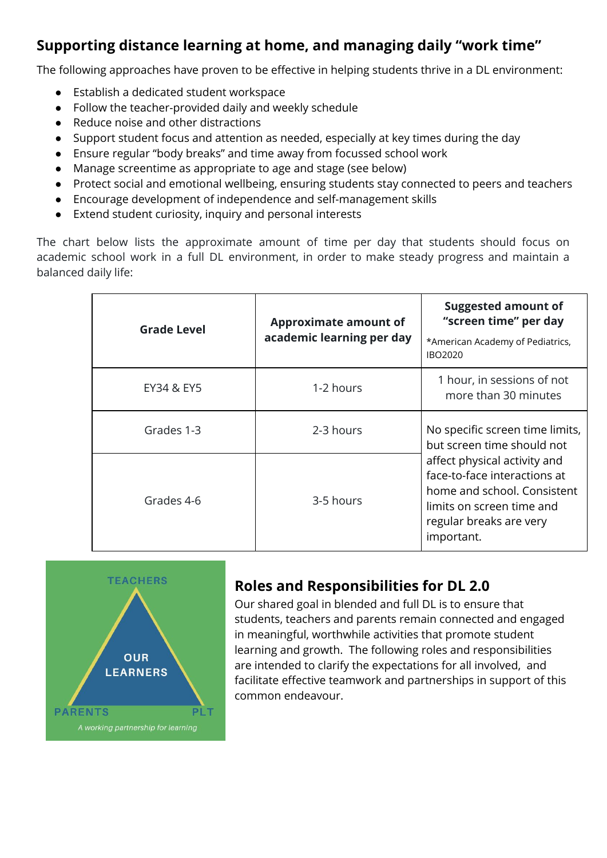## **Supporting distance learning at home, and managing daily "work time"**

The following approaches have proven to be effective in helping students thrive in a DL environment:

- Establish a dedicated student workspace
- Follow the teacher-provided daily and weekly schedule
- Reduce noise and other distractions
- Support student focus and attention as needed, especially at key times during the day
- Ensure regular "body breaks" and time away from focussed school work
- Manage screentime as appropriate to age and stage (see below)
- Protect social and emotional wellbeing, ensuring students stay connected to peers and teachers
- Encourage development of independence and self-management skills
- Extend student curiosity, inquiry and personal interests

The chart below lists the approximate amount of time per day that students should focus on academic school work in a full DL environment, in order to make steady progress and maintain a balanced daily life:

| <b>Grade Level</b> | <b>Approximate amount of</b><br>academic learning per day                  | <b>Suggested amount of</b><br>"screen time" per day<br>*American Academy of Pediatrics,<br>IBO2020                                                                |  |
|--------------------|----------------------------------------------------------------------------|-------------------------------------------------------------------------------------------------------------------------------------------------------------------|--|
| EY34 & EY5         | 1-2 hours                                                                  | 1 hour, in sessions of not<br>more than 30 minutes                                                                                                                |  |
| Grades 1-3         | No specific screen time limits,<br>2-3 hours<br>but screen time should not |                                                                                                                                                                   |  |
| Grades 4-6         | 3-5 hours                                                                  | affect physical activity and<br>face-to-face interactions at<br>home and school. Consistent<br>limits on screen time and<br>regular breaks are very<br>important. |  |



## **Roles and Responsibilities for DL 2.0**

Our shared goal in blended and full DL is to ensure that students, teachers and parents remain connected and engaged in meaningful, worthwhile activities that promote student learning and growth. The following roles and responsibilities are intended to clarify the expectations for all involved, and facilitate effective teamwork and partnerships in support of this common endeavour.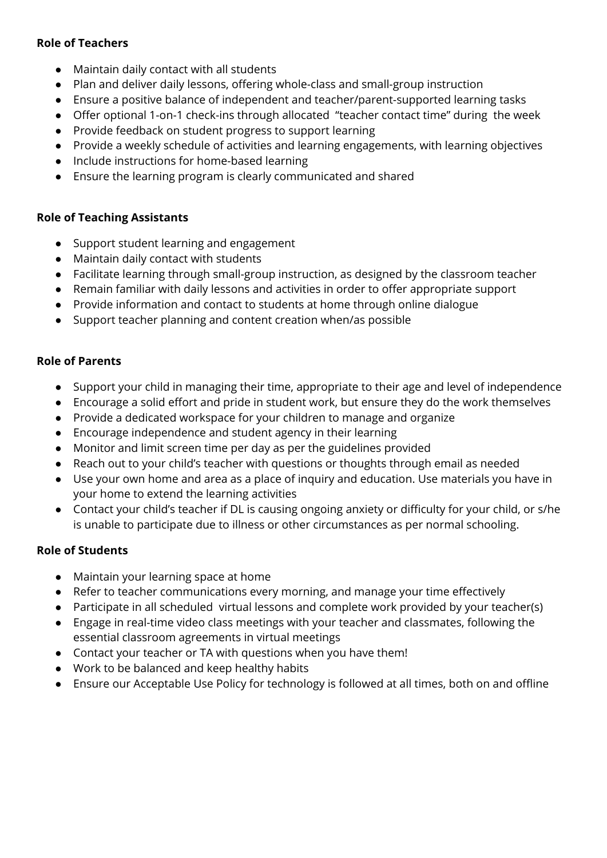### **Role of Teachers**

- Maintain daily contact with all students
- Plan and deliver daily lessons, offering whole-class and small-group instruction
- Ensure a positive balance of independent and teacher/parent-supported learning tasks
- Offer optional 1-on-1 check-ins through allocated "teacher contact time" during the week
- Provide feedback on student progress to support learning
- Provide a weekly schedule of activities and learning engagements, with learning objectives
- Include instructions for home-based learning
- Ensure the learning program is clearly communicated and shared

### **Role of Teaching Assistants**

- Support student learning and engagement
- Maintain daily contact with students
- Facilitate learning through small-group instruction, as designed by the classroom teacher
- Remain familiar with daily lessons and activities in order to offer appropriate support
- Provide information and contact to students at home through online dialogue
- Support teacher planning and content creation when/as possible

### **Role of Parents**

- Support your child in managing their time, appropriate to their age and level of independence
- Encourage a solid effort and pride in student work, but ensure they do the work themselves
- Provide a dedicated workspace for your children to manage and organize
- Encourage independence and student agency in their learning
- Monitor and limit screen time per day as per the guidelines provided
- Reach out to your child's teacher with questions or thoughts through email as needed
- Use your own home and area as a place of inquiry and education. Use materials you have in your home to extend the learning activities
- Contact your child's teacher if DL is causing ongoing anxiety or difficulty for your child, or s/he is unable to participate due to illness or other circumstances as per normal schooling.

### **Role of Students**

- Maintain your learning space at home
- Refer to teacher communications every morning, and manage your time effectively
- Participate in all scheduled virtual lessons and complete work provided by your teacher(s)
- Engage in real-time video class meetings with your teacher and classmates, following the essential classroom agreements in virtual meetings
- Contact your teacher or TA with questions when you have them!
- Work to be balanced and keep healthy habits
- Ensure our Acceptable Use Policy for technology is followed at all times, both on and offline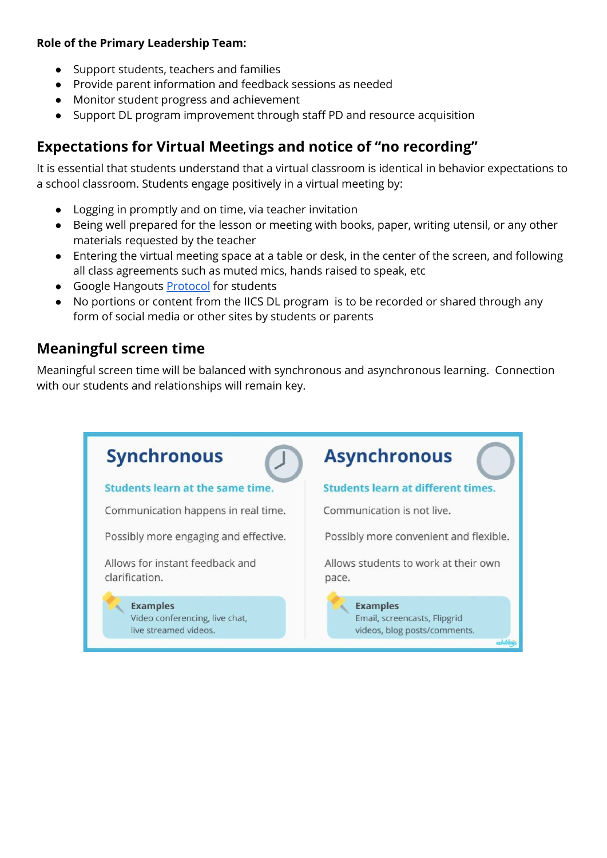### **Role of the Primary Leadership Team:**

- Support students, teachers and families
- Provide parent information and feedback sessions as needed
- Monitor student progress and achievement
- Support DL program improvement through staff PD and resource acquisition

## **Expectations for Virtual Meetings and notice of "no recording"**

It is essential that students understand that a virtual classroom is identical in behavior expectations to a school classroom. Students engage positively in a virtual meeting by:

- Logging in promptly and on time, via teacher invitation
- Being well prepared for the lesson or meeting with books, paper, writing utensil, or any other materials requested by the teacher
- Entering the virtual meeting space at a table or desk, in the center of the screen, and following all class agreements such as muted mics, hands raised to speak, etc
- Google Hangouts **[Protocol](https://docs.google.com/document/d/1oxao45KarGIYvpNWS20x98D3eXyTCQ-5U0cOErx6U9s/edit)** for students
- No portions or content from the IICS DL program is to be recorded or shared through any form of social media or other sites by students or parents

## **Meaningful screen time**

Meaningful screen time will be balanced with synchronous and asynchronous learning. Connection with our students and relationships will remain key.

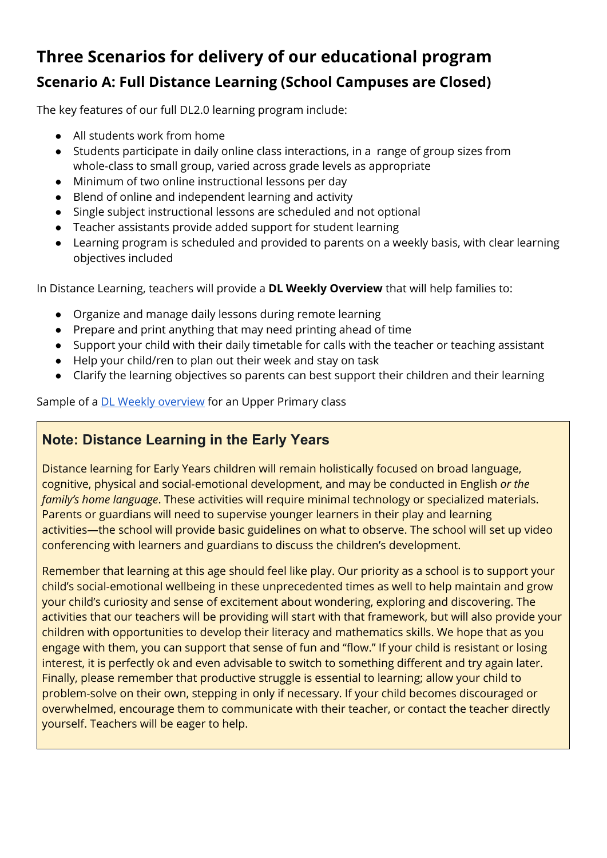# **Three Scenarios for delivery of our educational program Scenario A: Full Distance Learning (School Campuses are Closed)**

The key features of our full DL2.0 learning program include:

- All students work from home
- Students participate in daily online class interactions, in a range of group sizes from whole-class to small group, varied across grade levels as appropriate
- Minimum of two online instructional lessons per day
- Blend of online and independent learning and activity
- Single subject instructional lessons are scheduled and not optional
- Teacher assistants provide added support for student learning
- Learning program is scheduled and provided to parents on a weekly basis, with clear learning objectives included

In Distance Learning, teachers will provide a **DL Weekly Overview** that will help families to:

- Organize and manage daily lessons during remote learning
- Prepare and print anything that may need printing ahead of time
- Support your child with their daily timetable for calls with the teacher or teaching assistant
- Help your child/ren to plan out their week and stay on task
- Clarify the learning objectives so parents can best support their children and their learning

Sample of a **DL Weekly [overview](https://docs.google.com/document/d/1Ec-1sZleV2JbOVynVqY34q69G_JEbjlOQoGvnZmXlVU/edit?usp=sharing)** for an Upper Primary class

## **Note: Distance Learning in the Early Years**

Distance learning for Early Years children will remain holistically focused on broad language, cognitive, physical and social-emotional development, and may be conducted in English *or the family's home language*. These activities will require minimal technology or specialized materials. Parents or guardians will need to supervise younger learners in their play and learning activities—the school will provide basic guidelines on what to observe. The school will set up video conferencing with learners and guardians to discuss the children's development.

Remember that learning at this age should feel like play. Our priority as a school is to support your child's social-emotional wellbeing in these unprecedented times as well to help maintain and grow your child's curiosity and sense of excitement about wondering, exploring and discovering. The activities that our teachers will be providing will start with that framework, but will also provide your children with opportunities to develop their literacy and mathematics skills. We hope that as you engage with them, you can support that sense of fun and "flow." If your child is resistant or losing interest, it is perfectly ok and even advisable to switch to something different and try again later. Finally, please remember that productive struggle is essential to learning; allow your child to problem-solve on their own, stepping in only if necessary. If your child becomes discouraged or overwhelmed, encourage them to communicate with their teacher, or contact the teacher directly yourself. Teachers will be eager to help.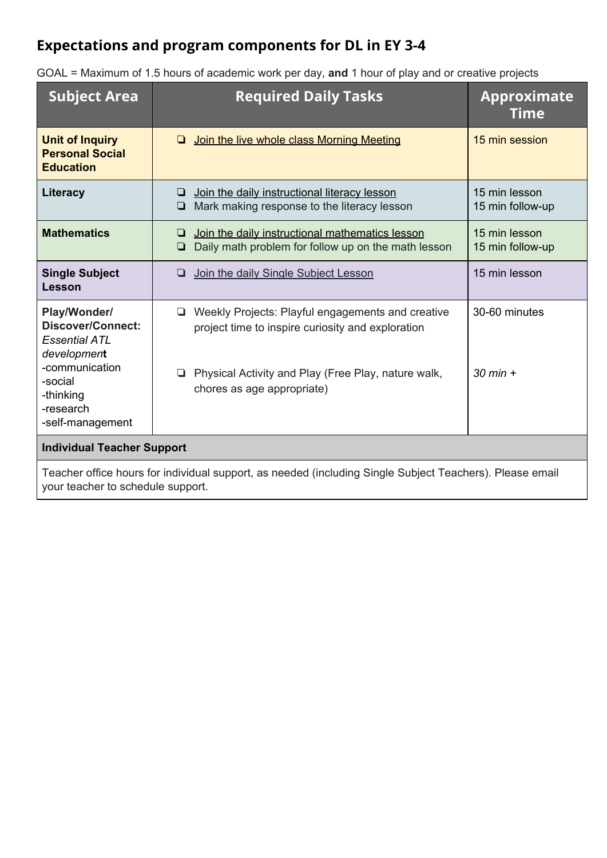## **Expectations and program components for DL in EY 3-4**

| <b>Subject Area</b>                                                                                                                                 | <b>Required Daily Tasks</b><br><b>Approximate</b><br><b>Time</b>                                                                                                                                           |                                   |  |  |
|-----------------------------------------------------------------------------------------------------------------------------------------------------|------------------------------------------------------------------------------------------------------------------------------------------------------------------------------------------------------------|-----------------------------------|--|--|
| <b>Unit of Inquiry</b><br><b>Personal Social</b><br><b>Education</b>                                                                                | Join the live whole class Morning Meeting<br>◘                                                                                                                                                             | 15 min session                    |  |  |
| Literacy                                                                                                                                            | Join the daily instructional literacy lesson<br>❏<br>Mark making response to the literacy lesson<br>❏                                                                                                      | 15 min lesson<br>15 min follow-up |  |  |
| <b>Mathematics</b>                                                                                                                                  | Join the daily instructional mathematics lesson<br>❏<br>Daily math problem for follow up on the math lesson<br>❏                                                                                           | 15 min lesson<br>15 min follow-up |  |  |
| <b>Single Subject</b><br>Lesson                                                                                                                     | Join the daily Single Subject Lesson<br>❏                                                                                                                                                                  | 15 min lesson                     |  |  |
| Play/Wonder/<br><b>Discover/Connect:</b><br>Essential ATL<br>development<br>-communication<br>-social<br>-thinking<br>-research<br>-self-management | Weekly Projects: Playful engagements and creative<br>❏<br>project time to inspire curiosity and exploration<br>Physical Activity and Play (Free Play, nature walk,<br>$\Box$<br>chores as age appropriate) | 30-60 minutes<br>$30$ min $+$     |  |  |
| <b>Individual Teacher Support</b>                                                                                                                   |                                                                                                                                                                                                            |                                   |  |  |
| Teacher office hours for individual support, as needed (including Single Subject Teachers). Please email<br>your teacher to schedule support.       |                                                                                                                                                                                                            |                                   |  |  |

GOAL = Maximum of 1.5 hours of academic work per day, **and** 1 hour of play and or creative projects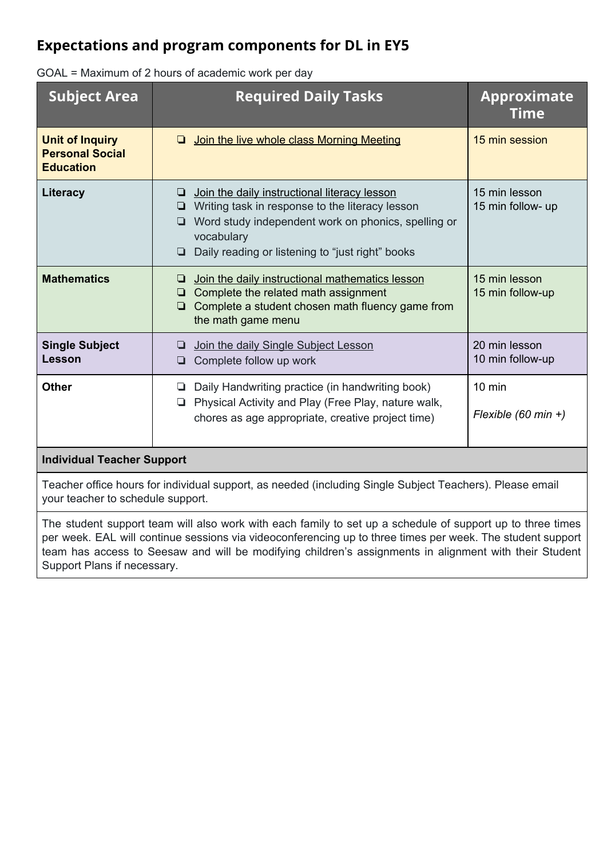## **Expectations and program components for DL in EY5**

| <b>Subject Area</b>                                                  | <b>Required Daily Tasks</b>                                                                                                                                                                                                                | <b>Approximate</b><br><b>Time</b>  |
|----------------------------------------------------------------------|--------------------------------------------------------------------------------------------------------------------------------------------------------------------------------------------------------------------------------------------|------------------------------------|
| <b>Unit of Inquiry</b><br><b>Personal Social</b><br><b>Education</b> | Join the live whole class Morning Meeting<br>◘                                                                                                                                                                                             | 15 min session                     |
| Literacy                                                             | Join the daily instructional literacy lesson<br>❏<br>Writing task in response to the literacy lesson<br>Word study independent work on phonics, spelling or<br>O.<br>vocabulary<br>$\Box$ Daily reading or listening to "just right" books | 15 min lesson<br>15 min follow- up |
| <b>Mathematics</b>                                                   | Join the daily instructional mathematics lesson<br>□<br>Complete the related math assignment<br>Complete a student chosen math fluency game from<br>9.<br>the math game menu                                                               | 15 min lesson<br>15 min follow-up  |
| <b>Single Subject</b><br>Lesson                                      | Join the daily Single Subject Lesson<br>Complete follow up work                                                                                                                                                                            | 20 min lesson<br>10 min follow-up  |
| <b>Other</b>                                                         | Daily Handwriting practice (in handwriting book)<br>❏<br>Physical Activity and Play (Free Play, nature walk,<br>9.<br>chores as age appropriate, creative project time)                                                                    | $10$ min<br>Flexible (60 min +)    |

GOAL = Maximum of 2 hours of academic work per day

### **Individual Teacher Support**

Teacher office hours for individual support, as needed (including Single Subject Teachers). Please email your teacher to schedule support.

The student support team will also work with each family to set up a schedule of support up to three times per week. EAL will continue sessions via videoconferencing up to three times per week. The student support team has access to Seesaw and will be modifying children's assignments in alignment with their Student Support Plans if necessary.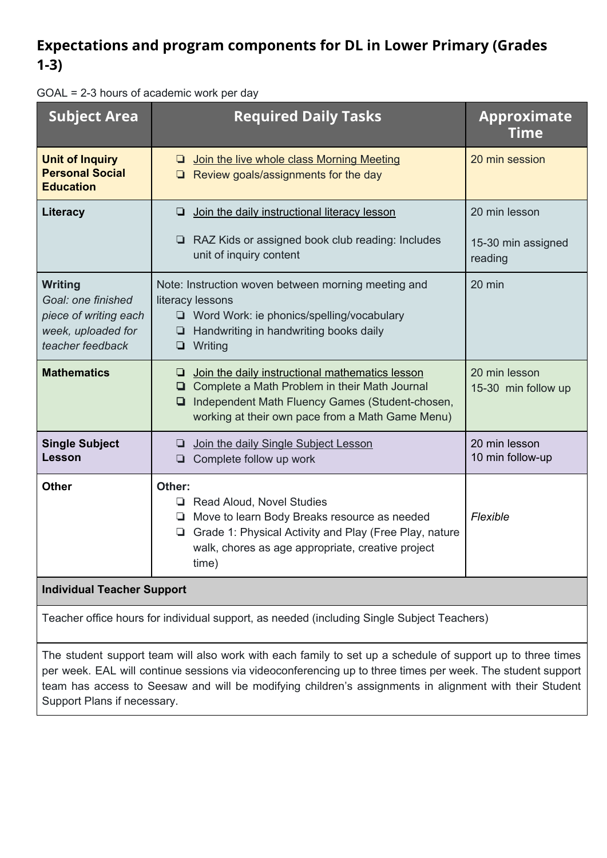## **Expectations and program components for DL in Lower Primary (Grades 1-3)**

GOAL = 2-3 hours of academic work per day

| <b>Subject Area</b>                                                                                     | <b>Required Daily Tasks</b>                                                                                                                                                                                      | <b>Approximate</b><br><b>Time</b>    |  |  |
|---------------------------------------------------------------------------------------------------------|------------------------------------------------------------------------------------------------------------------------------------------------------------------------------------------------------------------|--------------------------------------|--|--|
| <b>Unit of Inquiry</b><br><b>Personal Social</b><br><b>Education</b>                                    | <b>Q</b> Join the live whole class Morning Meeting<br>$\Box$ Review goals/assignments for the day                                                                                                                | 20 min session                       |  |  |
| <b>Literacy</b>                                                                                         | <b>Join the daily instructional literacy lesson</b>                                                                                                                                                              | 20 min lesson                        |  |  |
|                                                                                                         | RAZ Kids or assigned book club reading: Includes<br>unit of inquiry content                                                                                                                                      | 15-30 min assigned<br>reading        |  |  |
| <b>Writing</b><br>Goal: one finished<br>piece of writing each<br>week, uploaded for<br>teacher feedback | Note: Instruction woven between morning meeting and<br>literacy lessons<br>□ Word Work: ie phonics/spelling/vocabulary<br>$\Box$ Handwriting in handwriting books daily<br>$\Box$ Writing                        | 20 min                               |  |  |
| <b>Mathematics</b>                                                                                      | $\Box$ Join the daily instructional mathematics lesson<br>□ Complete a Math Problem in their Math Journal<br>Independent Math Fluency Games (Student-chosen,<br>working at their own pace from a Math Game Menu) | 20 min lesson<br>15-30 min follow up |  |  |
| <b>Single Subject</b><br>Lesson                                                                         | Join the daily Single Subject Lesson<br>$\Box$ Complete follow up work                                                                                                                                           | 20 min lesson<br>10 min follow-up    |  |  |
| <b>Other</b>                                                                                            | Other:<br>Read Aloud, Novel Studies<br>Move to learn Body Breaks resource as needed<br>Grade 1: Physical Activity and Play (Free Play, nature<br>walk, chores as age appropriate, creative project<br>time)      | Flexible                             |  |  |
| <b>Individual Teacher Support</b>                                                                       |                                                                                                                                                                                                                  |                                      |  |  |
| Teacher office hours for individual support, as needed (including Single Subject Teachers)              |                                                                                                                                                                                                                  |                                      |  |  |

The student support team will also work with each family to set up a schedule of support up to three times per week. EAL will continue sessions via videoconferencing up to three times per week. The student support team has access to Seesaw and will be modifying children's assignments in alignment with their Student Support Plans if necessary.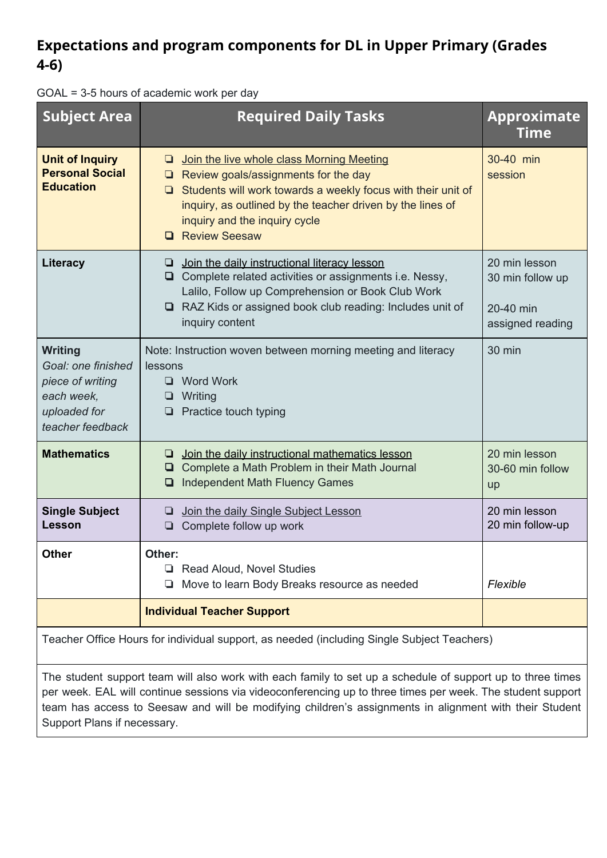## **Expectations and program components for DL in Upper Primary (Grades 4-6)**

| GOAL = 3-5 hours of academic work per day |  |  |  |  |  |  |  |  |
|-------------------------------------------|--|--|--|--|--|--|--|--|
|-------------------------------------------|--|--|--|--|--|--|--|--|

| <b>Subject Area</b>                                                                                        | <b>Required Daily Tasks</b>                                                                                                                                                                                                                                                                       | <b>Approximate</b><br><b>Time</b>                                  |
|------------------------------------------------------------------------------------------------------------|---------------------------------------------------------------------------------------------------------------------------------------------------------------------------------------------------------------------------------------------------------------------------------------------------|--------------------------------------------------------------------|
| <b>Unit of Inquiry</b><br><b>Personal Social</b><br><b>Education</b>                                       | Join the live whole class Morning Meeting<br>Q.<br>$\Box$ Review goals/assignments for the day<br>Students will work towards a weekly focus with their unit of<br>❏.<br>inquiry, as outlined by the teacher driven by the lines of<br>inquiry and the inquiry cycle<br><b>Review Seesaw</b><br>ום | 30-40 min<br>session                                               |
| Literacy                                                                                                   | $\Box$ Join the daily instructional literacy lesson<br>$\Box$ Complete related activities or assignments i.e. Nessy,<br>Lalilo, Follow up Comprehension or Book Club Work<br>RAZ Kids or assigned book club reading: Includes unit of<br>inquiry content                                          | 20 min lesson<br>30 min follow up<br>20-40 min<br>assigned reading |
| <b>Writing</b><br>Goal: one finished<br>piece of writing<br>each week,<br>uploaded for<br>teacher feedback | Note: Instruction woven between morning meeting and literacy<br>lessons<br>$\Box$ Word Work<br>Writing<br>❏<br>Practice touch typing<br>⊡                                                                                                                                                         | 30 min                                                             |
| <b>Mathematics</b>                                                                                         | Join the daily instructional mathematics lesson<br>❏<br>□ Complete a Math Problem in their Math Journal<br><b>Independent Math Fluency Games</b><br>❏                                                                                                                                             | 20 min lesson<br>30-60 min follow<br>up                            |
| <b>Single Subject</b><br>Lesson                                                                            | Join the daily Single Subject Lesson<br>⊔<br>Complete follow up work<br>❏                                                                                                                                                                                                                         | 20 min lesson<br>20 min follow-up                                  |
| <b>Other</b>                                                                                               | Other:<br><b>Read Aloud, Novel Studies</b><br>Move to learn Body Breaks resource as needed                                                                                                                                                                                                        | Flexible                                                           |
|                                                                                                            | <b>Individual Teacher Support</b>                                                                                                                                                                                                                                                                 |                                                                    |

Teacher Office Hours for individual support, as needed (including Single Subject Teachers)

The student support team will also work with each family to set up a schedule of support up to three times per week. EAL will continue sessions via videoconferencing up to three times per week. The student support team has access to Seesaw and will be modifying children's assignments in alignment with their Student Support Plans if necessary.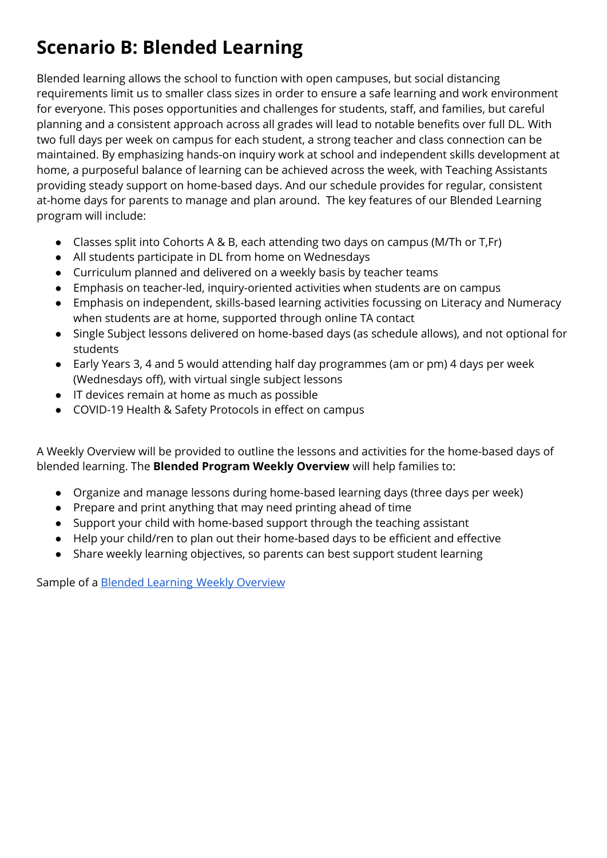# **Scenario B: Blended Learning**

Blended learning allows the school to function with open campuses, but social distancing requirements limit us to smaller class sizes in order to ensure a safe learning and work environment for everyone. This poses opportunities and challenges for students, staff, and families, but careful planning and a consistent approach across all grades will lead to notable benefits over full DL. With two full days per week on campus for each student, a strong teacher and class connection can be maintained. By emphasizing hands-on inquiry work at school and independent skills development at home, a purposeful balance of learning can be achieved across the week, with Teaching Assistants providing steady support on home-based days. And our schedule provides for regular, consistent at-home days for parents to manage and plan around. The key features of our Blended Learning program will include:

- Classes split into Cohorts A & B, each attending two days on campus (M/Th or T,Fr)
- All students participate in DL from home on Wednesdays
- Curriculum planned and delivered on a weekly basis by teacher teams
- Emphasis on teacher-led, inquiry-oriented activities when students are on campus
- Emphasis on independent, skills-based learning activities focussing on Literacy and Numeracy when students are at home, supported through online TA contact
- Single Subject lessons delivered on home-based days (as schedule allows), and not optional for students
- Early Years 3, 4 and 5 would attending half day programmes (am or pm) 4 days per week (Wednesdays off), with virtual single subject lessons
- IT devices remain at home as much as possible
- COVID-19 Health & Safety Protocols in effect on campus

A Weekly Overview will be provided to outline the lessons and activities for the home-based days of blended learning. The **Blended Program Weekly Overview** will help families to:

- Organize and manage lessons during home-based learning days (three days per week)
- Prepare and print anything that may need printing ahead of time
- Support your child with home-based support through the teaching assistant
- Help your child/ren to plan out their home-based days to be efficient and effective
- Share weekly learning objectives, so parents can best support student learning

Sample of a Blended [Learning](https://docs.google.com/document/d/1wVYMCFbZcZp4SCJqkqE0jZQJ5ma62xpXQVCKS-ibecM/edit?usp=sharing) Weekly [Overview](https://docs.google.com/document/d/1wVYMCFbZcZp4SCJqkqE0jZQJ5ma62xpXQVCKS-ibecM/edit?usp=sharing)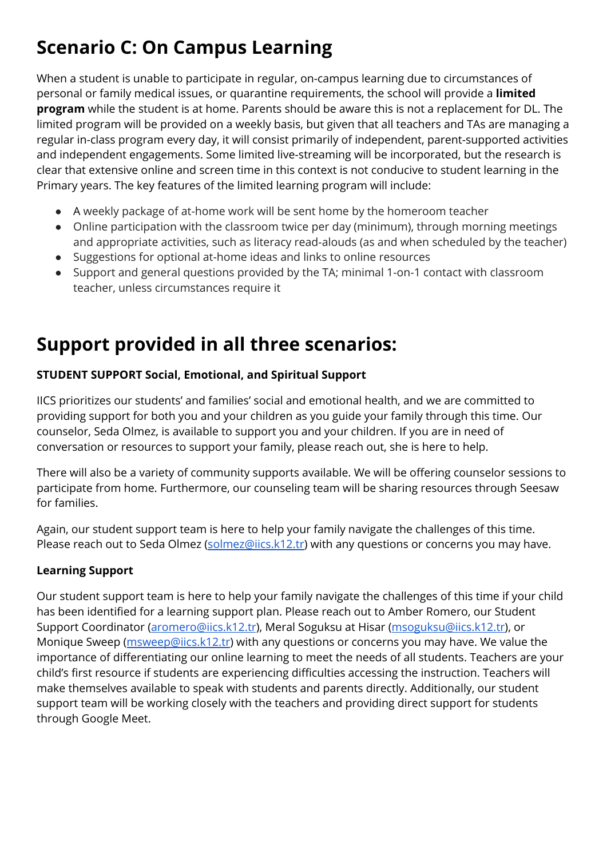# **Scenario C: On Campus Learning**

When a student is unable to participate in regular, on-campus learning due to circumstances of personal or family medical issues, or quarantine requirements, the school will provide a **limited program** while the student is at home. Parents should be aware this is not a replacement for DL. The limited program will be provided on a weekly basis, but given that all teachers and TAs are managing a regular in-class program every day, it will consist primarily of independent, parent-supported activities and independent engagements. Some limited live-streaming will be incorporated, but the research is clear that extensive online and screen time in this context is not conducive to student learning in the Primary years. The key features of the limited learning program will include:

- A weekly package of at-home work will be sent home by the homeroom teacher
- Online participation with the classroom twice per day (minimum), through morning meetings and appropriate activities, such as literacy read-alouds (as and when scheduled by the teacher)
- Suggestions for optional at-home ideas and links to online resources
- Support and general questions provided by the TA; minimal 1-on-1 contact with classroom teacher, unless circumstances require it

# **Support provided in all three scenarios:**

### **STUDENT SUPPORT Social, Emotional, and Spiritual Support**

IICS prioritizes our students' and families' social and emotional health, and we are committed to providing support for both you and your children as you guide your family through this time. Our counselor, Seda Olmez, is available to support you and your children. If you are in need of conversation or resources to support your family, please reach out, she is here to help.

There will also be a variety of community supports available. We will be offering counselor sessions to participate from home. Furthermore, our counseling team will be sharing resources through Seesaw for families.

Again, our student support team is here to help your family navigate the challenges of this time. Please reach out to Seda Olmez [\(solmez@iics.k12.tr\)](mailto:solmez@iics.k12.tr) with any questions or concerns you may have.

### **Learning Support**

Our student support team is here to help your family navigate the challenges of this time if your child has been identified for a learning support plan. Please reach out to Amber Romero, our Student Support Coordinator ([aromero@iics.k12.tr](mailto:aromero@iics.k12.tr)), Meral Soguksu at Hisar ([msoguksu@iics.k12.tr\)](mailto:msoguksu@iics.k12.tr), or Monique Sweep (*[msweep@iics.k12.tr](mailto:msweep@iics.k12.tr)*) with any questions or concerns you may have. We value the importance of differentiating our online learning to meet the needs of all students. Teachers are your child's first resource if students are experiencing difficulties accessing the instruction. Teachers will make themselves available to speak with students and parents directly. Additionally, our student support team will be working closely with the teachers and providing direct support for students through Google Meet.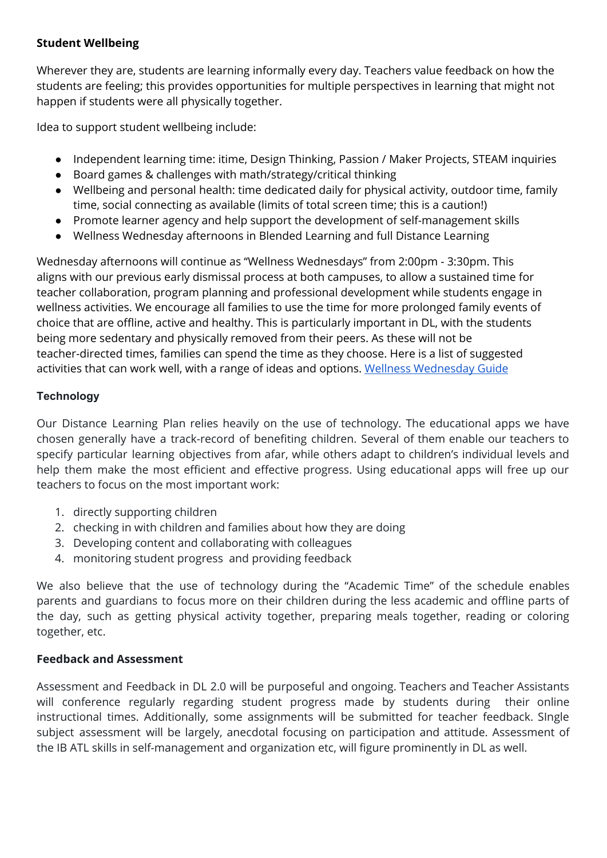### **Student Wellbeing**

Wherever they are, students are learning informally every day. Teachers value feedback on how the students are feeling; this provides opportunities for multiple perspectives in learning that might not happen if students were all physically together.

Idea to support student wellbeing include:

- Independent learning time: itime, Design Thinking, Passion / Maker Projects, STEAM inquiries
- Board games & challenges with math/strategy/critical thinking
- Wellbeing and personal health: time dedicated daily for physical activity, outdoor time, family time, social connecting as available (limits of total screen time; this is a caution!)
- Promote learner agency and help support the development of self-management skills
- Wellness Wednesday afternoons in Blended Learning and full Distance Learning

Wednesday afternoons will continue as "Wellness Wednesdays" from 2:00pm - 3:30pm. This aligns with our previous early dismissal process at both campuses, to allow a sustained time for teacher collaboration, program planning and professional development while students engage in wellness activities. We encourage all families to use the time for more prolonged family events of choice that are offline, active and healthy. This is particularly important in DL, with the students being more sedentary and physically removed from their peers. As these will not be teacher-directed times, families can spend the time as they choose. Here is a list of suggested activities that can work well, with a range of ideas and options. Wellness [Wednesday](https://drive.google.com/file/d/1C3fWKxndEcQ9mvMhh8Ge35BRnfNJTWO-/view?usp=drive_open) Guide

### **Technology**

Our Distance Learning Plan relies heavily on the use of technology. The educational apps we have chosen generally have a track-record of benefiting children. Several of them enable our teachers to specify particular learning objectives from afar, while others adapt to children's individual levels and help them make the most efficient and effective progress. Using educational apps will free up our teachers to focus on the most important work:

- 1. directly supporting children
- 2. checking in with children and families about how they are doing
- 3. Developing content and collaborating with colleagues
- 4. monitoring student progress and providing feedback

We also believe that the use of technology during the "Academic Time" of the schedule enables parents and guardians to focus more on their children during the less academic and offline parts of the day, such as getting physical activity together, preparing meals together, reading or coloring together, etc.

### **Feedback and Assessment**

Assessment and Feedback in DL 2.0 will be purposeful and ongoing. Teachers and Teacher Assistants will conference regularly regarding student progress made by students during their online instructional times. Additionally, some assignments will be submitted for teacher feedback. SIngle subject assessment will be largely, anecdotal focusing on participation and attitude. Assessment of the IB ATL skills in self-management and organization etc, will figure prominently in DL as well.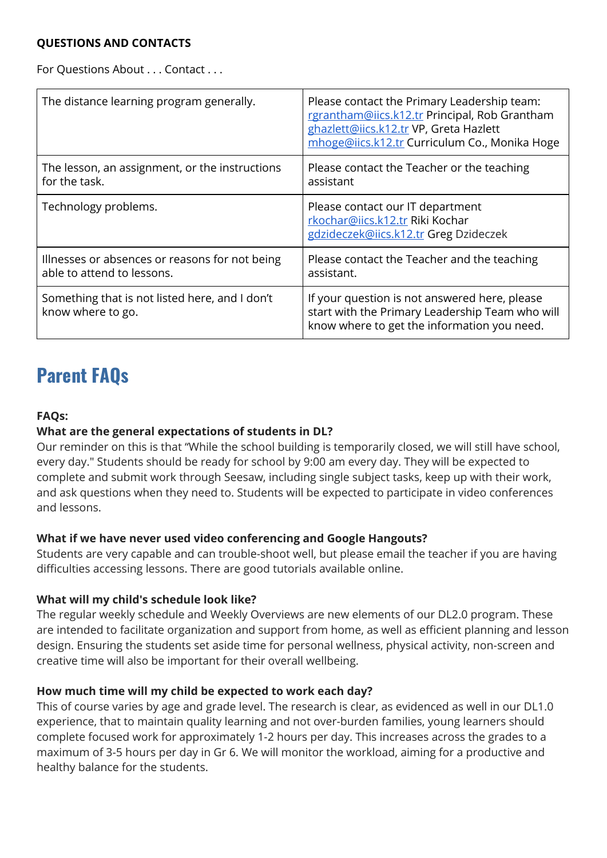#### **QUESTIONS AND CONTACTS**

For Questions About . . . Contact . . .

| The distance learning program generally.                                     | Please contact the Primary Leadership team:<br>rgrantham@iics.k12.tr Principal, Rob Grantham<br>ghazlett@iics.k12.tr VP, Greta Hazlett<br>mhoge@iics.k12.tr Curriculum Co., Monika Hoge |
|------------------------------------------------------------------------------|-----------------------------------------------------------------------------------------------------------------------------------------------------------------------------------------|
| The lesson, an assignment, or the instructions<br>for the task.              | Please contact the Teacher or the teaching<br>assistant                                                                                                                                 |
| Technology problems.                                                         | Please contact our IT department<br>rkochar@iics.k12.tr Riki Kochar<br>gdzideczek@iics.k12.tr Greg Dzideczek                                                                            |
| Illnesses or absences or reasons for not being<br>able to attend to lessons. | Please contact the Teacher and the teaching<br>assistant.                                                                                                                               |
| Something that is not listed here, and I don't<br>know where to go.          | If your question is not answered here, please<br>start with the Primary Leadership Team who will<br>know where to get the information you need.                                         |

# **Parent FAQs**

### **FAQs:**

### **What are the general expectations of students in DL?**

Our reminder on this is that "While the school building is temporarily closed, we will still have school, every day." Students should be ready for school by 9:00 am every day. They will be expected to complete and submit work through Seesaw, including single subject tasks, keep up with their work, and ask questions when they need to. Students will be expected to participate in video conferences and lessons.

### **What if we have never used video conferencing and Google Hangouts?**

Students are very capable and can trouble-shoot well, but please email the teacher if you are having difficulties accessing lessons. There are good tutorials available online.

#### **What will my child's schedule look like?**

The regular weekly schedule and Weekly Overviews are new elements of our DL2.0 program. These are intended to facilitate organization and support from home, as well as efficient planning and lesson design. Ensuring the students set aside time for personal wellness, physical activity, non-screen and creative time will also be important for their overall wellbeing.

### **How much time will my child be expected to work each day?**

This of course varies by age and grade level. The research is clear, as evidenced as well in our DL1.0 experience, that to maintain quality learning and not over-burden families, young learners should complete focused work for approximately 1-2 hours per day. This increases across the grades to a maximum of 3-5 hours per day in Gr 6. We will monitor the workload, aiming for a productive and healthy balance for the students.